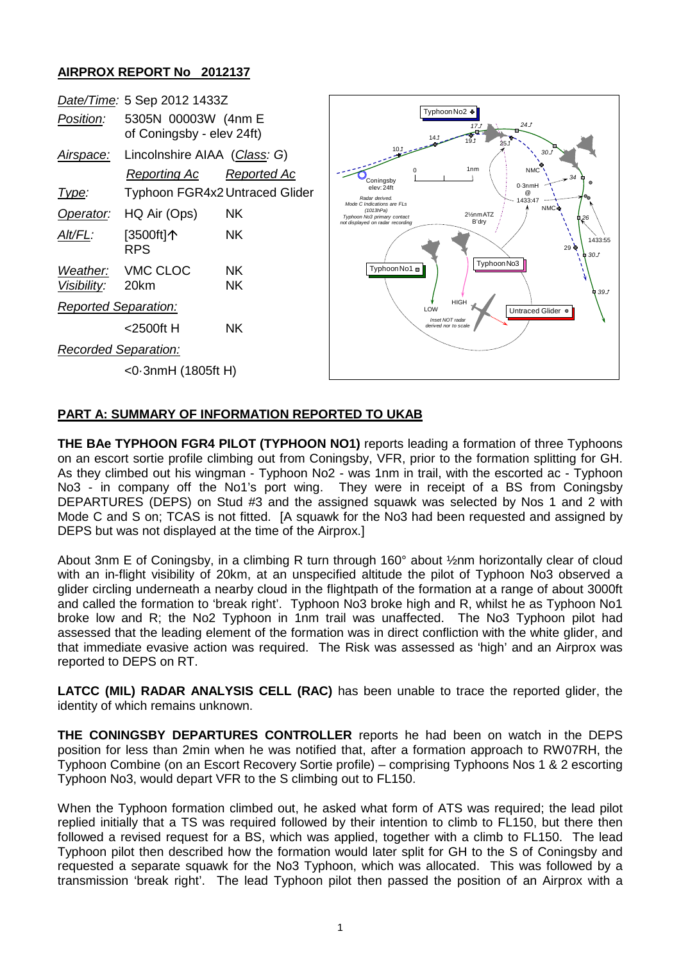## **AIRPROX REPORT No 2012137**



## **PART A: SUMMARY OF INFORMATION REPORTED TO UKAB**

**THE BAe TYPHOON FGR4 PILOT (TYPHOON NO1)** reports leading a formation of three Typhoons on an escort sortie profile climbing out from Coningsby, VFR, prior to the formation splitting for GH. As they climbed out his wingman - Typhoon No2 - was 1nm in trail, with the escorted ac - Typhoon No3 - in company off the No1's port wing. They were in receipt of a BS from Coningsby DEPARTURES (DEPS) on Stud #3 and the assigned squawk was selected by Nos 1 and 2 with Mode C and S on; TCAS is not fitted. [A squawk for the No3 had been requested and assigned by DEPS but was not displayed at the time of the Airprox.]

About 3nm E of Coningsby, in a climbing R turn through 160° about ½nm horizontally clear of cloud with an in-flight visibility of 20km, at an unspecified altitude the pilot of Typhoon No3 observed a glider circling underneath a nearby cloud in the flightpath of the formation at a range of about 3000ft and called the formation to 'break right'. Typhoon No3 broke high and R, whilst he as Typhoon No1 broke low and R; the No2 Typhoon in 1nm trail was unaffected. The No3 Typhoon pilot had assessed that the leading element of the formation was in direct confliction with the white glider, and that immediate evasive action was required. The Risk was assessed as 'high' and an Airprox was reported to DEPS on RT.

**LATCC (MIL) RADAR ANALYSIS CELL (RAC)** has been unable to trace the reported glider, the identity of which remains unknown.

**THE CONINGSBY DEPARTURES CONTROLLER** reports he had been on watch in the DEPS position for less than 2min when he was notified that, after a formation approach to RW07RH, the Typhoon Combine (on an Escort Recovery Sortie profile) – comprising Typhoons Nos 1 & 2 escorting Typhoon No3, would depart VFR to the S climbing out to FL150.

When the Typhoon formation climbed out, he asked what form of ATS was required; the lead pilot replied initially that a TS was required followed by their intention to climb to FL150, but there then followed a revised request for a BS, which was applied, together with a climb to FL150. The lead Typhoon pilot then described how the formation would later split for GH to the S of Coningsby and requested a separate squawk for the No3 Typhoon, which was allocated. This was followed by a transmission 'break right'. The lead Typhoon pilot then passed the position of an Airprox with a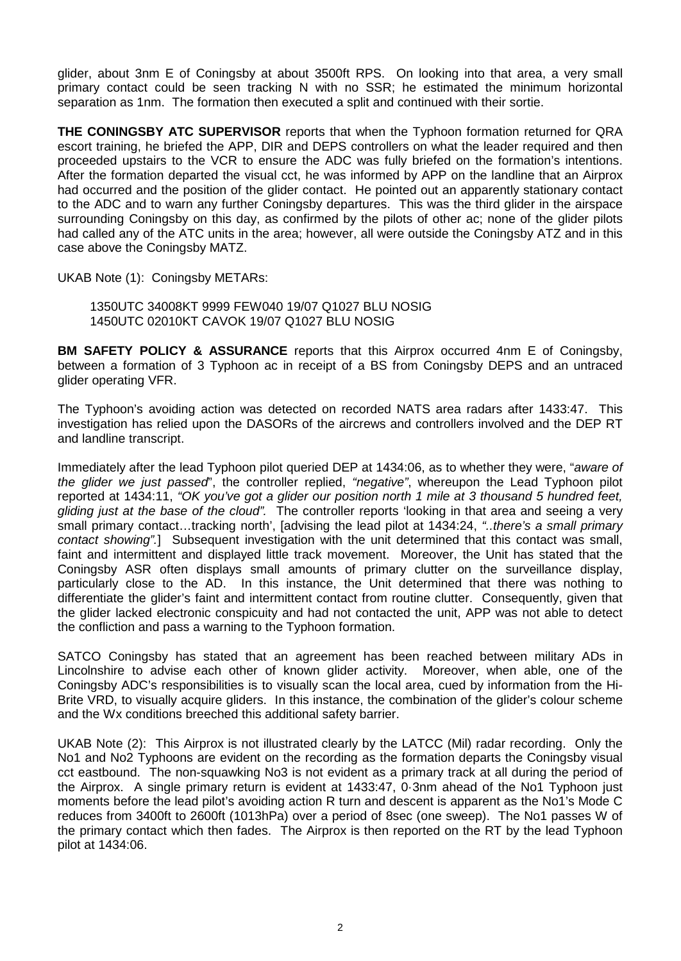glider, about 3nm E of Coningsby at about 3500ft RPS. On looking into that area, a very small primary contact could be seen tracking N with no SSR; he estimated the minimum horizontal separation as 1nm. The formation then executed a split and continued with their sortie.

**THE CONINGSBY ATC SUPERVISOR** reports that when the Typhoon formation returned for QRA escort training, he briefed the APP, DIR and DEPS controllers on what the leader required and then proceeded upstairs to the VCR to ensure the ADC was fully briefed on the formation's intentions. After the formation departed the visual cct, he was informed by APP on the landline that an Airprox had occurred and the position of the glider contact. He pointed out an apparently stationary contact to the ADC and to warn any further Coningsby departures. This was the third glider in the airspace surrounding Coningsby on this day, as confirmed by the pilots of other ac; none of the glider pilots had called any of the ATC units in the area; however, all were outside the Coningsby ATZ and in this case above the Coningsby MATZ.

UKAB Note (1): Coningsby METARs:

1350UTC 34008KT 9999 FEW040 19/07 Q1027 BLU NOSIG 1450UTC 02010KT CAVOK 19/07 Q1027 BLU NOSIG

**BM SAFETY POLICY & ASSURANCE** reports that this Airprox occurred 4nm E of Coningsby, between a formation of 3 Typhoon ac in receipt of a BS from Coningsby DEPS and an untraced glider operating VFR.

The Typhoon's avoiding action was detected on recorded NATS area radars after 1433:47. This investigation has relied upon the DASORs of the aircrews and controllers involved and the DEP RT and landline transcript.

Immediately after the lead Typhoon pilot queried DEP at 1434:06, as to whether they were, "*aware of the glider we just passed*", the controller replied, *"negative"*, whereupon the Lead Typhoon pilot reported at 1434:11, *"OK you've got a glider our position north 1 mile at 3 thousand 5 hundred feet, gliding just at the base of the cloud".* The controller reports 'looking in that area and seeing a very small primary contact…tracking north', [advising the lead pilot at 1434:24, *"..there's a small primary contact showing".*] Subsequent investigation with the unit determined that this contact was small, faint and intermittent and displayed little track movement. Moreover, the Unit has stated that the Coningsby ASR often displays small amounts of primary clutter on the surveillance display, particularly close to the AD. In this instance, the Unit determined that there was nothing to differentiate the glider's faint and intermittent contact from routine clutter. Consequently, given that the glider lacked electronic conspicuity and had not contacted the unit, APP was not able to detect the confliction and pass a warning to the Typhoon formation.

SATCO Coningsby has stated that an agreement has been reached between military ADs in Lincolnshire to advise each other of known glider activity. Moreover, when able, one of the Coningsby ADC's responsibilities is to visually scan the local area, cued by information from the Hi-Brite VRD, to visually acquire gliders. In this instance, the combination of the glider's colour scheme and the Wx conditions breeched this additional safety barrier.

UKAB Note (2): This Airprox is not illustrated clearly by the LATCC (Mil) radar recording. Only the No1 and No2 Typhoons are evident on the recording as the formation departs the Coningsby visual cct eastbound. The non-squawking No3 is not evident as a primary track at all during the period of the Airprox. A single primary return is evident at 1433:47, 0·3nm ahead of the No1 Typhoon just moments before the lead pilot's avoiding action R turn and descent is apparent as the No1's Mode C reduces from 3400ft to 2600ft (1013hPa) over a period of 8sec (one sweep). The No1 passes W of the primary contact which then fades. The Airprox is then reported on the RT by the lead Typhoon pilot at 1434:06.